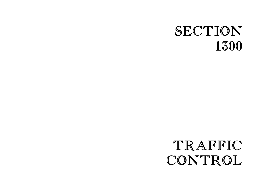# SECTION 1300

# TRAFFIC CONTROL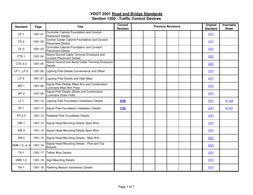| <b>Standard</b> | Page    | <b>Title</b>                                                                  | <b>Current</b><br>Revision | <b>Previous Revisions</b> | Original<br><b>Standard</b> | Insertable<br><b>Sheet</b> |       |
|-----------------|---------|-------------------------------------------------------------------------------|----------------------------|---------------------------|-----------------------------|----------------------------|-------|
| $CF-1$          | 1301.01 | <b>Controller Cabinet Foundation and Conduit</b><br><b>Placement Details</b>  |                            |                           |                             | 2/01                       |       |
| $CF-2$          | 1301.02 | Control Center Cabinet Foundation and Conduit<br><b>Placement Details</b>     |                            |                           |                             | 2/01                       |       |
| $CF-3$          | 1301.03 | <b>Controller Cabinet Foundation and Conduit</b><br><b>Placement Details</b>  |                            |                           |                             | 2/01                       |       |
| CTE-1           | 1301.04 | Above Ground Cable Terminal Enclosure and<br><b>Conduit Placement Details</b> |                            |                           |                             | 2/01                       |       |
| CTE-2,3         | 1301.05 | Above Ground and Aerial Cable Terminal Enclosure<br><b>Details</b>            |                            |                           |                             | 2/01                       |       |
| LP-1, LP-2      | 1301.06 | Lighting Pole Details Conventional and Offset                                 |                            |                           |                             | 2/01                       |       |
| $LP-3$          |         | 1301.07 Lighting Pole Details and High Mast                                   |                            |                           |                             | 2/01                       |       |
| $MP-1$          | 1301.08 | Signal Pole Details (Mast Arm and Combination<br>Luminaire Mast Arm Pole)     |                            |                           |                             | 2/01                       |       |
| $MP-2$          | 1301.09 | Signal Pole Details (Strain and Combination<br>Luminaire Strain Pole)         |                            |                           |                             | 2/01                       |       |
| $LF-1$          | 1301.10 | Lighting Pole Foundation Installation Details                                 | 9/06                       |                           |                             | 2/01                       | A-128 |
| $PF-1$          | 1301.11 | Signal Pole Foundation Installation Details                                   | 7/05                       |                           |                             | 2/01                       | A-167 |
| PF-2,3          |         | 1301.12 Pedestal Pole Foundation Details                                      |                            |                           |                             | 2/01                       |       |
| $SW-1$          | 1301.13 | Signal Head Mounting Details Span Wire                                        |                            |                           |                             | 2/01                       |       |
| <b>SW-2</b>     | 1301.14 | Signal Head Mounting Details Span Wire                                        |                            |                           |                             | 2/01                       |       |
| $SM-3$          |         | 1301.15 Signal Head Mounting Details - Mast Arm                               |                            |                           |                             | 2/01                       |       |
| SMB-1,2, or 3   | 1301.16 | Signal Head Mounting Detials - Pole and Top<br><b>Bracket</b>                 |                            |                           |                             | 2/01                       |       |
| $TA-1$          | 1301.17 | <b>Tether Wire Details</b>                                                    |                            |                           |                             | 2/01                       |       |
| SMD-1,2         |         | 1301.18 Sign Mounting Details                                                 |                            |                           |                             | 2/01                       |       |
| $FB-1$          |         | 1301.19   Flashing Beacon Installation Details                                |                            |                           |                             | 2/01                       |       |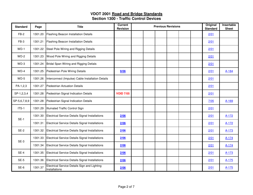| <b>Standard</b> | Page    | <b>Title</b>                                                  | <b>Current</b><br>Revision | <b>Previous Revisions</b> |  |  |  |  |  | Original<br><b>Standard</b> | Insertable<br><b>Sheet</b> |
|-----------------|---------|---------------------------------------------------------------|----------------------------|---------------------------|--|--|--|--|--|-----------------------------|----------------------------|
| $FB-2$          | 1301.20 | Flashing Beacon Installation Details                          |                            |                           |  |  |  |  |  | 2/01                        |                            |
| FB-3            | 1301.21 | Flashing Beacon Installation Details                          |                            |                           |  |  |  |  |  | 2/01                        |                            |
| $WD-1$          | 1301.22 | Steel Pole Wiring and Rigging Details                         |                            |                           |  |  |  |  |  | 2/01                        |                            |
| $WD-2$          |         | 1301.23 Wood Pole Wiring and Rigging Details                  |                            |                           |  |  |  |  |  | 2/01                        |                            |
| $WD-3$          | 1301.24 | Bridal Span Wiring and Rigging Detials                        |                            |                           |  |  |  |  |  | 2/01                        |                            |
| $WD-4$          | 1301.25 | Pedestrian Pole Wiring Details                                | 9/06                       |                           |  |  |  |  |  | 2/01                        | A-184                      |
| $WD-5$          | 1301.26 | Interconnect (Impulse) Cable Installation Details             |                            |                           |  |  |  |  |  | 2/01                        |                            |
| PA-1,2,3        | 1301.27 | Pedestrian Actuation Details                                  |                            |                           |  |  |  |  |  | 2/01                        |                            |
| SP-1,2,3,4      | 1301.28 | Pedestrian Signal Indication Details                          | <b>VOID 7/05</b>           |                           |  |  |  |  |  | 2/01                        |                            |
| SP-5,6,7,8,9    | 1301.28 | Pedestrian Signal Indication Details                          |                            |                           |  |  |  |  |  | 7/05                        | A-169                      |
| ITS-1           | 1301.29 | Illuinated Traffic Control Sign                               |                            |                           |  |  |  |  |  | 2/01                        |                            |
| $SE-1$          | 1301.30 | Electrical Service Details Signal Installations               | 2/06                       |                           |  |  |  |  |  | 2/01                        | $A-172$                    |
|                 | 1301.31 | Electrical Service Details Signal Installations               | 2/06                       |                           |  |  |  |  |  | 2/01                        | $A-172$                    |
| $SE-2$          | 1301.32 | Electrical Service Details Signal Installations               | 2/06                       |                           |  |  |  |  |  | 2/01                        | $A-173$                    |
| SE-3            | 1301.33 | Electrical Service Details Signal Installations               | 2/06                       |                           |  |  |  |  |  | 2/01                        | $A-174$                    |
|                 | 1301.34 | Electrical Service Details Signal Installations               | 2/06                       |                           |  |  |  |  |  | 2/01                        | $A-174$                    |
| $SE-4$          | 1301.35 | Electrical Service Details Signal Installations               | 2/06                       |                           |  |  |  |  |  | 2/01                        | A-173                      |
| $SE-5$          | 1301.36 | Electrical Service Details Signal Installations               | 2/06                       |                           |  |  |  |  |  | 2/01                        | $A-175$                    |
| SE-6            | 1301.37 | Electrical Service Details Sign and Lighting<br>Installations | 2/06                       |                           |  |  |  |  |  | 2/01                        | $A-175$                    |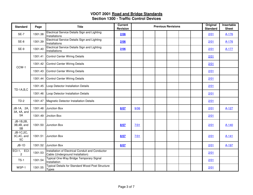| <b>Standard</b>               | Page    | <b>Title</b>                                                                         | <b>Current</b><br><b>Revision</b> | <b>Previous Revisions</b> |  |  |  |  |  | Original<br><b>Standard</b> | Insertable<br><b>Sheet</b> |
|-------------------------------|---------|--------------------------------------------------------------------------------------|-----------------------------------|---------------------------|--|--|--|--|--|-----------------------------|----------------------------|
| <b>SE-7</b>                   | 1301.38 | Electrical Service Details Sign and Lighting<br>Installations                        | 2/06                              |                           |  |  |  |  |  | 2/01                        | $A-176$                    |
| SE-8                          | 1301.39 | Electrical Service Details Sign and Lighting<br>Installations                        | 2/06                              |                           |  |  |  |  |  | 2/01                        | $A-176$                    |
| SE-9                          | 1301.40 | Electrical Service Details Sign and Lighting<br>Installations                        | 2/06                              |                           |  |  |  |  |  | 2/01                        | $A-177$                    |
|                               | 1301.41 | <b>Control Center Wiring Details</b>                                                 |                                   |                           |  |  |  |  |  | 2/01                        |                            |
| CCW-1                         | 1301.42 | Control Center Wiring Details                                                        |                                   |                           |  |  |  |  |  | 2/01                        |                            |
|                               | 1301.43 | <b>Control Center Wiring Details</b>                                                 |                                   |                           |  |  |  |  |  | 2/01                        |                            |
|                               | 1301.44 | <b>Control Center Wiring Details</b>                                                 |                                   |                           |  |  |  |  |  | 2/01                        |                            |
| <b>TD-1A,B,C</b>              | 1301.45 | Loop Detector Installation Details                                                   |                                   |                           |  |  |  |  |  | 2/01                        |                            |
|                               | 1301.46 | Loop Detector Installation Details                                                   |                                   |                           |  |  |  |  |  | 2/01                        |                            |
| $TD-2$                        | 1301.47 | Magnetic Detector Installation Details                                               |                                   |                           |  |  |  |  |  | 2/01                        |                            |
| JB-1A, 2A,<br>3A, 4A, and     |         | 1301.48 Junction Box                                                                 | 8/07                              | 9/06                      |  |  |  |  |  | 2/01                        | $A-127$                    |
| 5A                            |         | 1301.49 Jnction Box                                                                  |                                   |                           |  |  |  |  |  | 2/01                        |                            |
| JB-1B,2B,<br>3B,4B, and<br>5B | 1301.50 | Junction Box                                                                         | 8/07                              | 7/01                      |  |  |  |  |  | 2/01                        | $A-140$                    |
| JB-1C,2C,<br>3C,4C, and<br>5C |         | 1301.51 Junction Box                                                                 | 8/07                              | 7/01                      |  |  |  |  |  | 2/01                        | $A-141$                    |
| $JB-1D$                       |         | 1301.52 Junction Box                                                                 | 8/07                              |                           |  |  |  |  |  | 2/01                        | A-197                      |
| ECI-1, ECI-<br>$\overline{2}$ | 1301.53 | Installation of Electrical Conduit and Conductor<br>Cable (Underground Installation) |                                   |                           |  |  |  |  |  | 2/01                        |                            |
| $TS-1$                        | 1301.54 | Typical One-Way Bridge Temporary Signal<br>Installation                              |                                   |                           |  |  |  |  |  | 2/01                        |                            |
| WSP-1                         | 1301.55 | Typical Details for Standard Wood Post Structure<br><b>Types</b>                     |                                   |                           |  |  |  |  |  | 2/01                        |                            |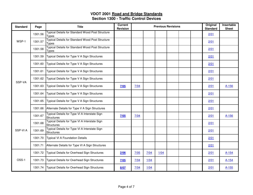| <b>Standard</b> | Page    | <b>Title</b>                                                     | <b>Current</b><br><b>Revision</b> | <b>Previous Revisions</b> |        |        |  |  |  | Original<br><b>Standard</b> | Insertable<br><b>Sheet</b> |
|-----------------|---------|------------------------------------------------------------------|-----------------------------------|---------------------------|--------|--------|--|--|--|-----------------------------|----------------------------|
|                 | 1301.56 | Typical Details for Standard Wood Post Structure<br><b>Types</b> |                                   |                           |        |        |  |  |  | 2/01                        |                            |
| WSP-1           | 1301.57 | Typical Details for Standard Wood Post Structure<br><b>Types</b> |                                   |                           |        |        |  |  |  | 2/01                        |                            |
|                 | 1301.58 | Typical Details for Standard Wood Post Structure<br><b>Types</b> |                                   |                           |        |        |  |  |  | 2/01                        |                            |
|                 | 1301.59 | Typical Details for Type V A Sign Structures                     |                                   |                           |        |        |  |  |  | 2/01                        |                            |
|                 | 1301.60 | Typical Details for Type V A Sign Structures                     |                                   |                           |        |        |  |  |  | 2/01                        |                            |
|                 | 1301.61 | Typical Details for Type V A Sign Structures                     |                                   |                           |        |        |  |  |  | 2/01                        |                            |
| SSP-VA          | 1301.62 | Typical Details for Type V A Sign Structures                     |                                   |                           |        |        |  |  |  | 2/01                        |                            |
|                 |         | 1301.63 Typical Details for Type V A Sign Structures             | 7/05                              | 7/04                      |        |        |  |  |  | 2/01                        | A-156                      |
|                 | 1301.64 | Typical Details for Type V A Sign Structures                     |                                   |                           |        |        |  |  |  | 2/01                        |                            |
|                 | 1301.65 | Typical Details for Type V A Sign Structures                     |                                   |                           |        |        |  |  |  | 2/01                        |                            |
|                 |         | 1301.66 Alternate Details for Type V A Sign Structures           |                                   |                           |        |        |  |  |  | 2/01                        |                            |
|                 | 1301.67 | Typical Details for Type VI A Interstate Sign<br>Structures      | 7/05                              | 7/04                      |        |        |  |  |  | 2/01                        | $A - 156$                  |
|                 | 1301.68 | Typical Details for Type VI A Interstate Sign<br>Structures      |                                   |                           |        |        |  |  |  | 2/01                        |                            |
| SSP-VIA         | 1301.69 | Typical Details for Type VI A Interstate Sign<br>Structures      |                                   |                           |        |        |  |  |  | 2/01                        |                            |
|                 | 1301.70 | Typical VI A Foundation Details                                  |                                   |                           |        |        |  |  |  | 2/01                        |                            |
|                 | 1301.71 | Alternate Details for Type VI A Sign Structures                  |                                   |                           |        |        |  |  |  | 2/01                        |                            |
|                 | 1301.72 | Typical Details for Overhead Sign Structures                     | 2/06                              | 7/05                      | 7/04   | $1/04$ |  |  |  | 2/01                        | $A - 154$                  |
| OSS-1           | 1301.73 | Typical Details for Overhead Sign Structures                     | 7/05                              | 7/04                      | $1/04$ |        |  |  |  | 2/01                        | $A - 154$                  |
|                 |         | 1301.74   Typical Details for Overhead Sign Structures           | 8/07                              | 7/04                      | 1/04   |        |  |  |  | 2/01                        | $A - 155$                  |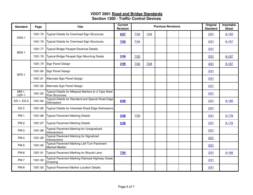| <b>Standard</b>   | Page    | <b>Title</b>                                                           | <b>Current</b><br><b>Revision</b> | <b>Previous Revisions</b> |      |  |  |  |  | Original<br><b>Standard</b> | Insertable<br><b>Sheet</b> |
|-------------------|---------|------------------------------------------------------------------------|-----------------------------------|---------------------------|------|--|--|--|--|-----------------------------|----------------------------|
| OSS-1             | 1301.75 | Typical Details for Overhead Sign Structures                           | 8/07                              | 7/04                      | 1/04 |  |  |  |  | 2/01                        | $A - 155$                  |
|                   | 1301.76 | Typical Details for Overhead Sign Structures                           | 7/05                              | 7/04                      |      |  |  |  |  | 2/01                        | $A-157$                    |
| BSS-1             | 1301.77 | Typical Bridge Parapet Electrical Details                              |                                   |                           |      |  |  |  |  | 2/01                        |                            |
|                   | 1301.78 | Typical Bridge Parapet Sign Mounting Detals                            | 2/06                              | 7/05                      |      |  |  |  |  | 2/01                        | A-167                      |
|                   | 1301.79 | Sign Panel Design                                                      | 2/06                              | 7/05                      | 7/04 |  |  |  |  | 2/01                        | $A-157$                    |
| SPD-1             | 1301.80 | Sign Panel Design                                                      |                                   |                           |      |  |  |  |  | 2/01                        |                            |
|                   | 1301.81 | Alternate Sign Panel Design                                            |                                   |                           |      |  |  |  |  | 2/01                        |                            |
|                   |         | 1301.82 Alternate Sign Panel Design                                    |                                   |                           |      |  |  |  |  | 2/01                        |                            |
| $MM-1$ ,<br>USP-1 | 1301.83 | Typical Details for Milepost Markers & U-Type Steel<br>Post Structures |                                   |                           |      |  |  |  |  | 2/01                        |                            |
| ED-1, ED-2        | 1301.84 | Typical Details for Standard and Special Road Edge<br>Delineators      | 9/06                              |                           |      |  |  |  |  | 2/01                        | A-185                      |
| $ED-3$            | 1301.85 | Typical Details for Interstate Road Edge Delineators                   |                                   |                           |      |  |  |  |  | 2/01                        |                            |
| <b>PM-1</b>       | 1301.86 | <b>Typical Pavement Marking Details</b>                                | 2/06                              | 7/05                      |      |  |  |  |  | 2/01                        | A-178                      |
| <b>PM-2</b>       | 1301.87 | Typical Pavement Marking Details                                       | 2/06                              |                           |      |  |  |  |  | 2/01                        | A-178                      |
| PM-3              | 1301.88 | Typical Pavement Marking for Unsignalized<br>Intersections             |                                   |                           |      |  |  |  |  | 2/01                        |                            |
| $PM-4$            | 1301.89 | <b>Typical Pavement Marking for Signalized</b><br>Intersections        |                                   |                           |      |  |  |  |  | 2/01                        |                            |
| <b>PM-5</b>       | 1301.90 | Typical Pavement Marking Left Turn Pavement<br><b>Marked Median</b>    |                                   |                           |      |  |  |  |  | 2/01                        |                            |
| PM-6              | 1301.91 | Typical Pavement Marking for Bicycle Lane                              | 7/05                              |                           |      |  |  |  |  | 2/01                        | A-168                      |
| <b>PM-7</b>       | 1301.92 | Typical Pavement Marking Railroad-Highway Grade<br>Crossing            |                                   |                           |      |  |  |  |  | 2/01                        |                            |
| PM-8              | 1301.93 | Typical Pavement Marker Location Details                               |                                   |                           |      |  |  |  |  | 2/01                        |                            |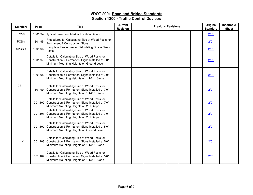| <b>Standard</b> | Page    | <b>Title</b>                                                                                                                                              | <b>Current</b><br><b>Revision</b> | <b>Previous Revisions</b> | Original<br><b>Standard</b> | Insertable<br><b>Sheet</b> |  |
|-----------------|---------|-----------------------------------------------------------------------------------------------------------------------------------------------------------|-----------------------------------|---------------------------|-----------------------------|----------------------------|--|
| PM-9            | 1301.94 | Typical Pavement Marker Location Details                                                                                                                  |                                   |                           |                             | 2/01                       |  |
| PCS-1           | 1301.95 | Procedures for Calculating Size of Wood Posts for<br>Permanent & Construction Signs                                                                       |                                   |                           |                             | 2/01                       |  |
| SPCS-1          | 1301.96 | Sample of Procedure for Calculating Size of Wood<br>Posts                                                                                                 |                                   |                           |                             | 2/01                       |  |
| CSI-1           | 1301.97 | Details for Calculating Size of Wood Posts for<br>Construction & Permanent Signs Installed at 7'0"<br>Minimum Mounting Heights on Ground Level            |                                   |                           |                             | 2/01                       |  |
|                 | 1301.98 | Details for Calculating Size of Wood Posts for<br>Construction & Permanent Signs Installed at 7'0"<br>Minimum Mounting Heights on 1 1/2: 1 Slope          |                                   |                           |                             | 2/01                       |  |
|                 | 1301.99 | Details for Calculating Size of Wood Posts for<br>Construction & Permanent Signs Installed at 7'0"<br>Minimum Mounting Heights on 1 1/2: 1 Slope          |                                   |                           |                             | 2/01                       |  |
|                 |         | Details for Calculating Size of Wood Posts for<br>1301.100 Construction & Permanent Signs Installed at 7'0"<br>Minimum Mounting Heights on 2: 1 Slope     |                                   |                           |                             | 2/01                       |  |
|                 |         | Details for Calculating Size of Wood Posts for<br>1301.101 Construction & Permanent Signs Installed at 7'0"<br>Minimum Mounting Heights on 2: 1 Slope     |                                   |                           |                             | 2/01                       |  |
|                 |         | Details for Calculating Size of Wood Posts for<br>1301.102 Construction & Permanent Signs Installed at 5'0"<br>Minimum Mounting Heights on Ground Level   |                                   |                           |                             | 2/01                       |  |
| PSI-1           |         | Details for Calculating Size of Wood Posts for<br>1301.103 Construction & Permanent Signs Installed at 5'0"<br>Minimum Mounting Heights on 1 1/2: 1 Slope |                                   |                           |                             | 2/01                       |  |
|                 |         | Details for Calculating Size of Wood Posts for<br>1301.104 Construction & Permanent Signs Installed at 5'0"<br>Minimum Mounting Heights on 1 1/2: 1 Slope |                                   |                           |                             | 2/01                       |  |